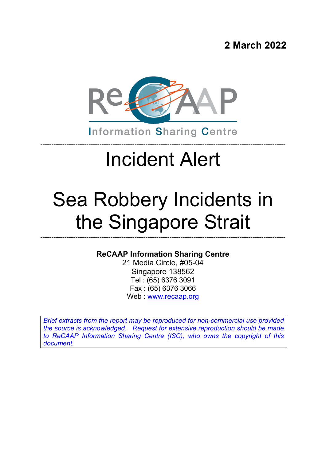**2 March 2022**



**Information Sharing Centre** 

----------------------------------------------------------------------------------------------------------------

# Incident Alert

# Sea Robbery Incidents in the Singapore Strait

#### **ReCAAP Information Sharing Centre**

----------------------------------------------------------------------------------------------------------------

21 Media Circle, #05-04 Singapore 138562 Tel : (65) 6376 3091 Fax : (65) 6376 3066 Web : [www.recaap.org](http://www.recaap.org/)

*Brief extracts from the report may be reproduced for non-commercial use provided the source is acknowledged. Request for extensive reproduction should be made to ReCAAP Information Sharing Centre (ISC), who owns the copyright of this document.*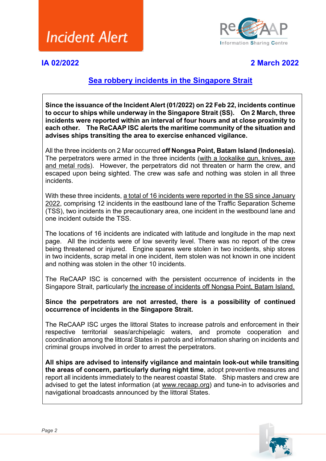

**IA 02/2022 2 March 2022**

#### **Sea robbery incidents in the Singapore Strait**

**Since the issuance of the Incident Alert (01/2022) on 22 Feb 22, incidents continue to occur to ships while underway in the Singapore Strait (SS). On 2 March, three incidents were reported within an interval of four hours and at close proximity to each other. The ReCAAP ISC alerts the maritime community of the situation and advises ships transiting the area to exercise enhanced vigilance.**

All the three incidents on 2 Mar occurred **off Nongsa Point, Batam Island (Indonesia).** The perpetrators were armed in the three incidents (with a lookalike gun, knives, axe and metal rods). However, the perpetrators did not threaten or harm the crew, and escaped upon being sighted. The crew was safe and nothing was stolen in all three incidents.

With these three incidents, a total of 16 incidents were reported in the SS since January 2022, comprising 12 incidents in the eastbound lane of the Traffic Separation Scheme (TSS), two incidents in the precautionary area, one incident in the westbound lane and one incident outside the TSS.

The locations of 16 incidents are indicated with latitude and longitude in the map next page. All the incidents were of low severity level. There was no report of the crew being threatened or injured. Engine spares were stolen in two incidents, ship stores in two incidents, scrap metal in one incident, item stolen was not known in one incident and nothing was stolen in the other 10 incidents.

The ReCAAP ISC is concerned with the persistent occurrence of incidents in the Singapore Strait, particularly the increase of incidents off Nongsa Point, Batam Island.

#### **Since the perpetrators are not arrested, there is a possibility of continued occurrence of incidents in the Singapore Strait.**

The ReCAAP ISC urges the littoral States to increase patrols and enforcement in their respective territorial seas/archipelagic waters, and promote cooperation and coordination among the littoral States in patrols and information sharing on incidents and criminal groups involved in order to arrest the perpetrators.

**All ships are advised to intensify vigilance and maintain look-out while transiting the areas of concern, particularly during night time**, adopt preventive measures and report all incidents immediately to the nearest coastal State. Ship masters and crew are advised to get the latest information (at [www.recaap.org\)](http://www.recaap.org/) and tune-in to advisories and navigational broadcasts announced by the littoral States.

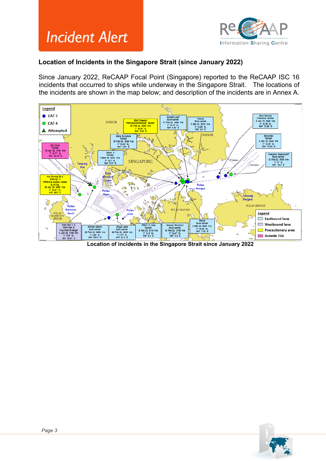



#### **Location of Incidents in the Singapore Strait (since January 2022)**

Since January 2022, ReCAAP Focal Point (Singapore) reported to the ReCAAP ISC 16 incidents that occurred to ships while underway in the Singapore Strait. The locations of the incidents are shown in the map below; and description of the incidents are in Annex A.



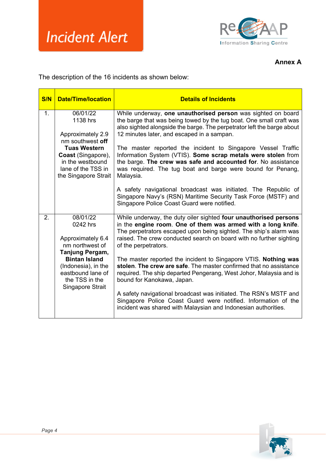

**Annex A**

The description of the 16 incidents as shown below:

| S/N            | <b>Date/Time/location</b>                                                                                          | <b>Details of Incidents</b>                                                                                                                                                                                                                                                                          |
|----------------|--------------------------------------------------------------------------------------------------------------------|------------------------------------------------------------------------------------------------------------------------------------------------------------------------------------------------------------------------------------------------------------------------------------------------------|
| 1 <sub>1</sub> | 06/01/22<br>1138 hrs<br>Approximately 2.9<br>nm southwest off                                                      | While underway, one unauthorised person was sighted on board<br>the barge that was being towed by the tug boat. One small craft was<br>also sighted alongside the barge. The perpetrator left the barge about<br>12 minutes later, and escaped in a sampan.                                          |
|                | <b>Tuas Western</b><br><b>Coast</b> (Singapore),<br>in the westbound<br>lane of the TSS in<br>the Singapore Strait | The master reported the incident to Singapore Vessel Traffic<br>Information System (VTIS). Some scrap metals were stolen from<br>the barge. The crew was safe and accounted for. No assistance<br>was required. The tug boat and barge were bound for Penang,<br>Malaysia.                           |
|                |                                                                                                                    | A safety navigational broadcast was initiated. The Republic of<br>Singapore Navy's (RSN) Maritime Security Task Force (MSTF) and<br>Singapore Police Coast Guard were notified.                                                                                                                      |
| 2.             | 08/01/22<br>0242 hrs<br>Approximately 6.4<br>nm northwest of<br>Tanjung Pergam,                                    | While underway, the duty oiler sighted four unauthorised persons<br>in the engine room. One of them was armed with a long knife.<br>The perpetrators escaped upon being sighted. The ship's alarm was<br>raised. The crew conducted search on board with no further sighting<br>of the perpetrators. |
|                | <b>Bintan Island</b><br>(Indonesia), in the<br>eastbound lane of<br>the TSS in the<br>Singapore Strait             | The master reported the incident to Singapore VTIS. Nothing was<br>stolen. The crew are safe. The master confirmed that no assistance<br>required. The ship departed Pengerang, West Johor, Malaysia and is<br>bound for Kanokawa, Japan.                                                            |
|                |                                                                                                                    | A safety navigational broadcast was initiated. The RSN's MSTF and<br>Singapore Police Coast Guard were notified. Information of the<br>incident was shared with Malaysian and Indonesian authorities.                                                                                                |

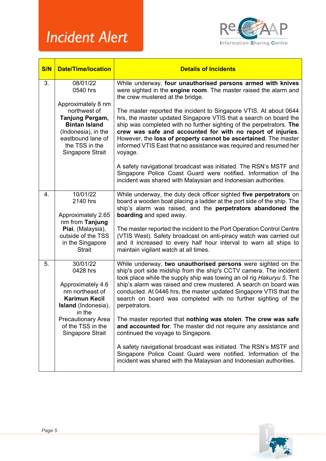

| <b>S/N</b> | <b>Date/Time/location</b>                                                                                                                                                               | <b>Details of Incidents</b>                                                                                                                                                                                                                                                                                                                                                                                                             |
|------------|-----------------------------------------------------------------------------------------------------------------------------------------------------------------------------------------|-----------------------------------------------------------------------------------------------------------------------------------------------------------------------------------------------------------------------------------------------------------------------------------------------------------------------------------------------------------------------------------------------------------------------------------------|
| 3.         | 08/01/22<br>0540 hrs<br>Approximately 8 nm<br>northwest of<br>Tanjung Pergam,<br><b>Bintan Island</b><br>(Indonesia), in the<br>eastbound lane of<br>the TSS in the<br>Singapore Strait | While underway, four unauthorised persons armed with knives<br>were sighted in the engine room. The master raised the alarm and<br>the crew mustered at the bridge.                                                                                                                                                                                                                                                                     |
|            |                                                                                                                                                                                         | The master reported the incident to Singapore VTIS. At about 0644<br>hrs, the master updated Singapore VTIS that a search on board the<br>ship was completed with no further sighting of the perpetrators. The<br>crew was safe and accounted for with no report of injuries.<br>However, the loss of property cannot be ascertained. The master<br>informed VTIS East that no assistance was required and resumed her<br>voyage.       |
|            |                                                                                                                                                                                         | A safety navigational broadcast was initiated. The RSN's MSTF and<br>Singapore Police Coast Guard were notified. Information of the<br>incident was shared with Malaysian and Indonesian authorities.                                                                                                                                                                                                                                   |
| 4.         | 10/01/22<br>2140 hrs<br>Approximately 2.65                                                                                                                                              | While underway, the duty deck officer sighted five perpetrators on<br>board a wooden boat placing a ladder at the port side of the ship. The<br>ship's alarm was raised, and the perpetrators abandoned the<br>boarding and sped away.                                                                                                                                                                                                  |
|            | nm from Tanjung<br>Piai, (Malaysia),<br>outside of the TSS<br>in the Singapore<br><b>Strait</b>                                                                                         | The master reported the incident to the Port Operation Control Centre<br>(VTIS West). Safety broadcast on anti-piracy watch was carried out<br>and it increased to every half hour interval to warn all ships to<br>maintain vigilant watch at all times.                                                                                                                                                                               |
| 5.         | 30/01/22<br>0428 hrs<br>Approximately 4.6<br>nm northeast of<br><b>Karimun Kecil</b><br><b>Island</b> (Indonesia),<br>in the                                                            | While underway, two unauthorised persons were sighted on the<br>ship's port side midship from the ship's CCTV camera. The incident<br>took place while the supply ship was towing an oil rig Hakuryu 5. The<br>ship's alarm was raised and crew mustered. A search on board was<br>conducted. At 0446 hrs, the master updated Singapore VTIS that the<br>search on board was completed with no further sighting of the<br>perpetrators. |
|            | <b>Precautionary Area</b><br>of the TSS in the<br>Singapore Strait                                                                                                                      | The master reported that nothing was stolen. The crew was safe<br>and accounted for. The master did not require any assistance and<br>continued the voyage to Singapore.                                                                                                                                                                                                                                                                |
|            |                                                                                                                                                                                         | A safety navigational broadcast was initiated. The RSN's MSTF and<br>Singapore Police Coast Guard were notified. Information of the<br>incident was shared with the Malaysian and Indonesian authorities.                                                                                                                                                                                                                               |

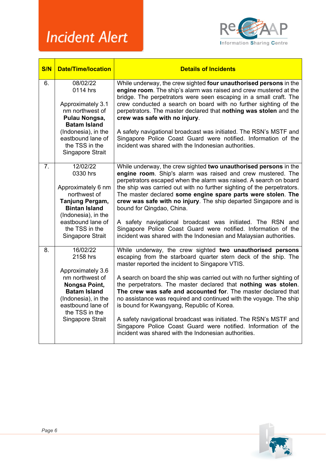

| S/N              | <b>Date/Time/location</b>                                                                                                                                                                 | <b>Details of Incidents</b>                                                                                                                                                                                                                                                                                                                                                                                                                                                                                                                                                                                                                                                                                     |
|------------------|-------------------------------------------------------------------------------------------------------------------------------------------------------------------------------------------|-----------------------------------------------------------------------------------------------------------------------------------------------------------------------------------------------------------------------------------------------------------------------------------------------------------------------------------------------------------------------------------------------------------------------------------------------------------------------------------------------------------------------------------------------------------------------------------------------------------------------------------------------------------------------------------------------------------------|
| 6.               | 08/02/22<br>0114 hrs<br>Approximately 3.1<br>nm northwest of<br>Pulau Nongsa,<br><b>Batam Island</b><br>(Indonesia), in the<br>eastbound lane of<br>the TSS in the<br>Singapore Strait    | While underway, the crew sighted four unauthorised persons in the<br>engine room. The ship's alarm was raised and crew mustered at the<br>bridge. The perpetrators were seen escaping in a small craft. The<br>crew conducted a search on board with no further sighting of the<br>perpetrators. The master declared that nothing was stolen and the<br>crew was safe with no injury.<br>A safety navigational broadcast was initiated. The RSN's MSTF and<br>Singapore Police Coast Guard were notified. Information of the<br>incident was shared with the Indonesian authorities.                                                                                                                            |
| $\overline{7}$ . | 12/02/22<br>$0330$ hrs<br>Approximately 6 nm<br>northwest of<br>Tanjung Pergam,<br><b>Bintan Island</b><br>(Indonesia), in the<br>eastbound lane of<br>the TSS in the<br>Singapore Strait | While underway, the crew sighted two unauthorised persons in the<br>engine room. Ship's alarm was raised and crew mustered. The<br>perpetrators escaped when the alarm was raised. A search on board<br>the ship was carried out with no further sighting of the perpetrators.<br>The master declared some engine spare parts were stolen. The<br>crew was safe with no injury. The ship departed Singapore and is<br>bound for Qingdao, China.<br>A safety navigational broadcast was initiated. The RSN and<br>Singapore Police Coast Guard were notified. Information of the<br>incident was shared with the Indonesian and Malaysian authorities.                                                           |
| 8.               | 16/02/22<br>2158 hrs<br>Approximately 3.6<br>nm northwest of<br>Nongsa Point,<br><b>Batam Island</b><br>(Indonesia), in the<br>eastbound lane of<br>the TSS in the<br>Singapore Strait    | While underway, the crew sighted two unauthorised persons<br>escaping from the starboard quarter stern deck of the ship. The<br>master reported the incident to Singapore VTIS.<br>A search on board the ship was carried out with no further sighting of<br>the perpetrators. The master declared that nothing was stolen.<br>The crew was safe and accounted for. The master declared that<br>no assistance was required and continued with the voyage. The ship<br>is bound for Kwangyang, Republic of Korea.<br>A safety navigational broadcast was initiated. The RSN's MSTF and<br>Singapore Police Coast Guard were notified. Information of the<br>incident was shared with the Indonesian authorities. |

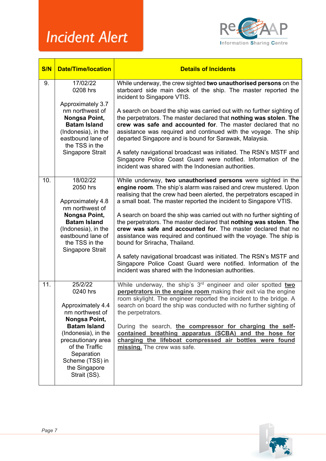

| <b>S/N</b> | <b>Date/Time/location</b>                                                                                              | <b>Details of Incidents</b>                                                                                                                                                                                                                                                                                                               |
|------------|------------------------------------------------------------------------------------------------------------------------|-------------------------------------------------------------------------------------------------------------------------------------------------------------------------------------------------------------------------------------------------------------------------------------------------------------------------------------------|
| 9.         | 17/02/22<br>0208 hrs<br>Approximately 3.7                                                                              | While underway, the crew sighted two unauthorised persons on the<br>starboard side main deck of the ship. The master reported the<br>incident to Singapore VTIS.                                                                                                                                                                          |
|            | nm northwest of<br>Nongsa Point,<br><b>Batam Island</b><br>(Indonesia), in the<br>eastbound lane of<br>the TSS in the  | A search on board the ship was carried out with no further sighting of<br>the perpetrators. The master declared that nothing was stolen. The<br>crew was safe and accounted for. The master declared that no<br>assistance was required and continued with the voyage. The ship<br>departed Singapore and is bound for Sarawak, Malaysia. |
|            | Singapore Strait                                                                                                       | A safety navigational broadcast was initiated. The RSN's MSTF and<br>Singapore Police Coast Guard were notified. Information of the<br>incident was shared with the Indonesian authorities.                                                                                                                                               |
| 10.        | 18/02/22<br>2050 hrs                                                                                                   | While underway, two unauthorised persons were sighted in the<br>engine room. The ship's alarm was raised and crew mustered. Upon<br>realising that the crew had been alerted, the perpetrators escaped in                                                                                                                                 |
|            | Approximately 4.8<br>nm northwest of                                                                                   | a small boat. The master reported the incident to Singapore VTIS.                                                                                                                                                                                                                                                                         |
|            | Nongsa Point,<br><b>Batam Island</b><br>(Indonesia), in the<br>eastbound lane of<br>the TSS in the<br>Singapore Strait | A search on board the ship was carried out with no further sighting of<br>the perpetrators. The master declared that nothing was stolen. The<br>crew was safe and accounted for. The master declared that no<br>assistance was required and continued with the voyage. The ship is<br>bound for Sriracha, Thailand.                       |
|            |                                                                                                                        | A safety navigational broadcast was initiated. The RSN's MSTF and<br>Singapore Police Coast Guard were notified. Information of the<br>incident was shared with the Indonesian authorities.                                                                                                                                               |
| 11.        | 25/2/22<br>0240 hrs                                                                                                    | While underway, the ship's 3 <sup>rd</sup> engineer and oiler spotted two<br>perpetrators in the engine room making their exit via the engine<br>room skylight. The engineer reported the incident to the bridge. A                                                                                                                       |
|            | Approximately 4.4<br>nm northwest of<br>Nongsa Point,                                                                  | search on board the ship was conducted with no further sighting of<br>the perpetrators.                                                                                                                                                                                                                                                   |
|            | <b>Batam Island</b><br>(Indonesia), in the<br>precautionary area<br>of the Traffic<br>Separation<br>Scheme (TSS) in    | During the search, the compressor for charging the self-<br>contained breathing apparatus (SCBA) and the hose for<br>charging the lifeboat compressed air bottles were found<br>missing. The crew was safe.                                                                                                                               |
|            | the Singapore<br>Strait (SS).                                                                                          |                                                                                                                                                                                                                                                                                                                                           |

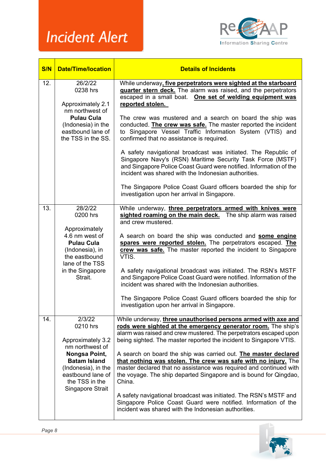

| S/N | <b>Date/Time/location</b>                                                                                                                                                            | <b>Details of Incidents</b>                                                                                                                                                                                                                                                                                                                                                                                                                                                                                                                                                                                                                                                                                                                                                                |
|-----|--------------------------------------------------------------------------------------------------------------------------------------------------------------------------------------|--------------------------------------------------------------------------------------------------------------------------------------------------------------------------------------------------------------------------------------------------------------------------------------------------------------------------------------------------------------------------------------------------------------------------------------------------------------------------------------------------------------------------------------------------------------------------------------------------------------------------------------------------------------------------------------------------------------------------------------------------------------------------------------------|
| 12. | 26/2/22<br>0238 hrs<br>Approximately 2.1<br>nm northwest of<br><b>Pulau Cula</b><br>(Indonesia) in the<br>eastbound lane of<br>the TSS in the SS.                                    | While underway, five perpetrators were sighted at the starboard<br>guarter stern deck. The alarm was raised, and the perpetrators<br>escaped in a small boat. One set of welding equipment was<br>reported stolen.<br>The crew was mustered and a search on board the ship was<br>conducted. The crew was safe. The master reported the incident<br>to Singapore Vessel Traffic Information System (VTIS) and<br>confirmed that no assistance is required.<br>A safety navigational broadcast was initiated. The Republic of<br>Singapore Navy's (RSN) Maritime Security Task Force (MSTF)<br>and Singapore Police Coast Guard were notified. Information of the<br>incident was shared with the Indonesian authorities.<br>The Singapore Police Coast Guard officers boarded the ship for |
|     |                                                                                                                                                                                      | investigation upon her arrival in Singapore.                                                                                                                                                                                                                                                                                                                                                                                                                                                                                                                                                                                                                                                                                                                                               |
| 13. | 28/2/22<br>0200 hrs<br>Approximately<br>4.6 nm west of<br><b>Pulau Cula</b><br>(Indonesia), in<br>the eastbound<br>lane of the TSS<br>in the Singapore<br>Strait.                    | While underway, three perpetrators armed with knives were<br>sighted roaming on the main deck. The ship alarm was raised<br>and crew mustered.<br>A search on board the ship was conducted and some engine<br>spares were reported stolen. The perpetrators escaped. The<br>crew was safe. The master reported the incident to Singapore<br>VTIS.<br>A safety navigational broadcast was initiated. The RSN's MSTF<br>and Singapore Police Coast Guard were notified. Information of the<br>incident was shared with the Indonesian authorities.<br>The Singapore Police Coast Guard officers boarded the ship for<br>investigation upon her arrival in Singapore.                                                                                                                         |
| 14. | 2/3/22<br>0210 hrs<br>Approximately 3.2<br>nm northwest of<br>Nongsa Point,<br><b>Batam Island</b><br>(Indonesia), in the<br>eastbound lane of<br>the TSS in the<br>Singapore Strait | While underway, three unauthorised persons armed with axe and<br>rods were sighted at the emergency generator room. The ship's<br>alarm was raised and crew mustered. The perpetrators escaped upon<br>being sighted. The master reported the incident to Singapore VTIS.<br>A search on board the ship was carried out. The master declared<br>that nothing was stolen. The crew was safe with no injury. The<br>master declared that no assistance was required and continued with<br>the voyage. The ship departed Singapore and is bound for Qingdao,<br>China.<br>A safety navigational broadcast was initiated. The RSN's MSTF and<br>Singapore Police Coast Guard were notified. Information of the<br>incident was shared with the Indonesian authorities.                         |